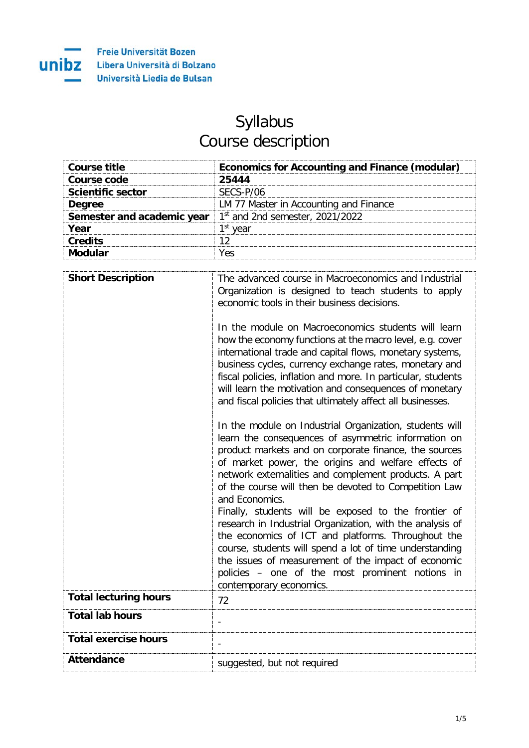## Syllabus Course description

| Course title             | <b>Economics for Accounting and Finance (modular)</b>               |
|--------------------------|---------------------------------------------------------------------|
| Course code              | 25444                                                               |
| <b>Scientific sector</b> | SECS-P/06                                                           |
| Dearee                   | LM 77 Master in Accounting and Finance                              |
|                          | <b>Semester and academic year</b> $1st$ and 2nd semester, 2021/2022 |
| Year                     | <sup>1st</sup> vear                                                 |
| <b>Credits</b>           |                                                                     |
|                          |                                                                     |

| <b>Short Description</b>     | The advanced course in Macroeconomics and Industrial<br>Organization is designed to teach students to apply<br>economic tools in their business decisions.<br>In the module on Macroeconomics students will learn<br>how the economy functions at the macro level, e.g. cover<br>international trade and capital flows, monetary systems,<br>business cycles, currency exchange rates, monetary and<br>fiscal policies, inflation and more. In particular, students<br>will learn the motivation and consequences of monetary<br>and fiscal policies that ultimately affect all businesses.<br>In the module on Industrial Organization, students will<br>learn the consequences of asymmetric information on<br>product markets and on corporate finance, the sources<br>of market power, the origins and welfare effects of<br>network externalities and complement products. A part<br>of the course will then be devoted to Competition Law<br>and Economics.<br>Finally, students will be exposed to the frontier of<br>research in Industrial Organization, with the analysis of<br>the economics of ICT and platforms. Throughout the<br>course, students will spend a lot of time understanding<br>the issues of measurement of the impact of economic<br>policies - one of the most prominent notions in<br>contemporary economics. |
|------------------------------|----------------------------------------------------------------------------------------------------------------------------------------------------------------------------------------------------------------------------------------------------------------------------------------------------------------------------------------------------------------------------------------------------------------------------------------------------------------------------------------------------------------------------------------------------------------------------------------------------------------------------------------------------------------------------------------------------------------------------------------------------------------------------------------------------------------------------------------------------------------------------------------------------------------------------------------------------------------------------------------------------------------------------------------------------------------------------------------------------------------------------------------------------------------------------------------------------------------------------------------------------------------------------------------------------------------------------------------------|
| <b>Total lecturing hours</b> | 72                                                                                                                                                                                                                                                                                                                                                                                                                                                                                                                                                                                                                                                                                                                                                                                                                                                                                                                                                                                                                                                                                                                                                                                                                                                                                                                                           |
| <b>Total lab hours</b>       |                                                                                                                                                                                                                                                                                                                                                                                                                                                                                                                                                                                                                                                                                                                                                                                                                                                                                                                                                                                                                                                                                                                                                                                                                                                                                                                                              |
| <b>Total exercise hours</b>  |                                                                                                                                                                                                                                                                                                                                                                                                                                                                                                                                                                                                                                                                                                                                                                                                                                                                                                                                                                                                                                                                                                                                                                                                                                                                                                                                              |
| <b>Attendance</b>            | suggested, but not required                                                                                                                                                                                                                                                                                                                                                                                                                                                                                                                                                                                                                                                                                                                                                                                                                                                                                                                                                                                                                                                                                                                                                                                                                                                                                                                  |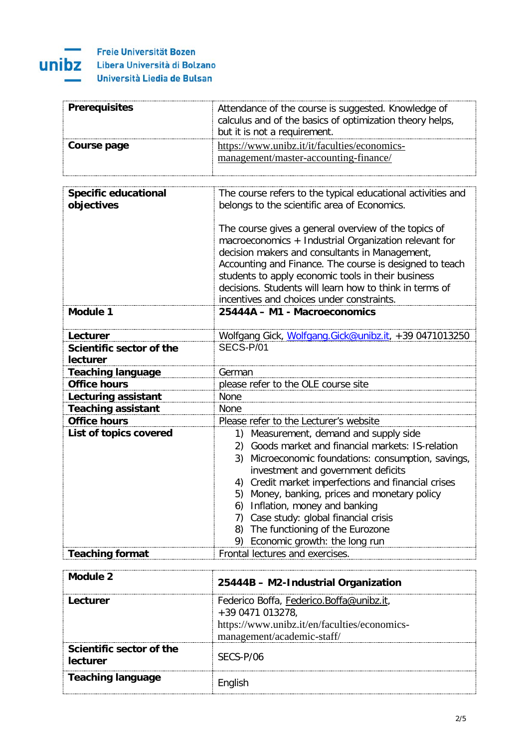

| <b>Prerequisites</b> | Attendance of the course is suggested. Knowledge of<br>calculus and of the basics of optimization theory helps,<br>but it is not a requirement. |
|----------------------|-------------------------------------------------------------------------------------------------------------------------------------------------|
| Course page          | https://www.unibz.it/it/faculties/economics-<br>management/master-accounting-finance/                                                           |

| <b>Specific educational</b><br>objectives | The course refers to the typical educational activities and<br>belongs to the scientific area of Economics.<br>The course gives a general overview of the topics of<br>macroeconomics + Industrial Organization relevant for<br>decision makers and consultants in Management,<br>Accounting and Finance. The course is designed to teach<br>students to apply economic tools in their business                                                                                                               |
|-------------------------------------------|---------------------------------------------------------------------------------------------------------------------------------------------------------------------------------------------------------------------------------------------------------------------------------------------------------------------------------------------------------------------------------------------------------------------------------------------------------------------------------------------------------------|
|                                           | decisions. Students will learn how to think in terms of<br>incentives and choices under constraints.                                                                                                                                                                                                                                                                                                                                                                                                          |
| <b>Module 1</b>                           | 25444A - M1 - Macroeconomics                                                                                                                                                                                                                                                                                                                                                                                                                                                                                  |
| Lecturer                                  | Wolfgang Gick, Wolfgang.Gick@unibz.it, +39 0471013250                                                                                                                                                                                                                                                                                                                                                                                                                                                         |
| Scientific sector of the<br>lecturer      | SECS-P/01                                                                                                                                                                                                                                                                                                                                                                                                                                                                                                     |
| <b>Teaching language</b>                  | German                                                                                                                                                                                                                                                                                                                                                                                                                                                                                                        |
| <b>Office hours</b>                       | please refer to the OLE course site                                                                                                                                                                                                                                                                                                                                                                                                                                                                           |
| Lecturing assistant                       | None                                                                                                                                                                                                                                                                                                                                                                                                                                                                                                          |
| <b>Teaching assistant</b>                 | <b>None</b>                                                                                                                                                                                                                                                                                                                                                                                                                                                                                                   |
| <b>Office hours</b>                       | Please refer to the Lecturer's website                                                                                                                                                                                                                                                                                                                                                                                                                                                                        |
| List of topics covered                    | Measurement, demand and supply side<br>1)<br>Goods market and financial markets: IS-relation<br>2)<br>3)<br>Microeconomic foundations: consumption, savings,<br>investment and government deficits<br>Credit market imperfections and financial crises<br>4)<br>5) Money, banking, prices and monetary policy<br>Inflation, money and banking<br>6)<br>Case study: global financial crisis<br>7)<br>The functioning of the Eurozone<br>8)<br>Economic growth: the long run<br>Frontal lectures and exercises. |
| <b>Teaching format</b>                    |                                                                                                                                                                                                                                                                                                                                                                                                                                                                                                               |

| Module 2                             | 25444B - M2-Industrial Organization                                                                                                        |
|--------------------------------------|--------------------------------------------------------------------------------------------------------------------------------------------|
| Lecturer                             | Federico Boffa, Federico.Boffa@unibz.it,<br>+39 0471 013278,<br>https://www.unibz.it/en/faculties/economics-<br>management/academic-staff/ |
| Scientific sector of the<br>lecturer | SECS-P/06                                                                                                                                  |
| <b>Teaching language</b>             |                                                                                                                                            |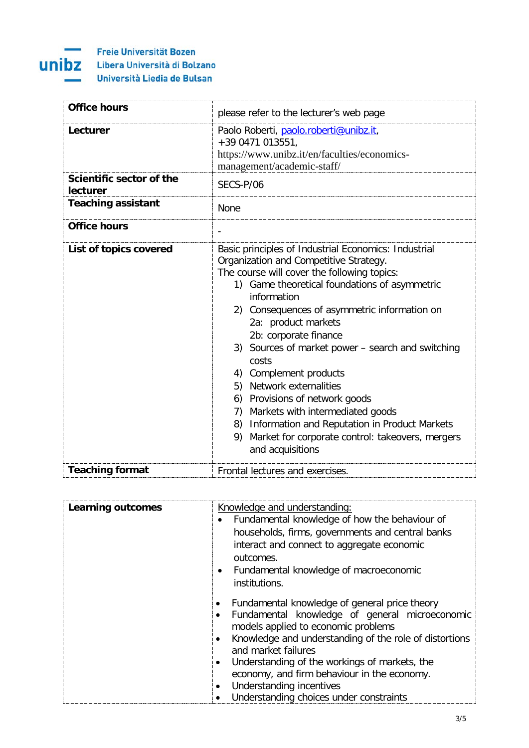

| <b>Office hours</b>                  | please refer to the lecturer's web page                                                                                                                                                                                                                                                                                                                                                                                                                                                                                                                                                                                                         |
|--------------------------------------|-------------------------------------------------------------------------------------------------------------------------------------------------------------------------------------------------------------------------------------------------------------------------------------------------------------------------------------------------------------------------------------------------------------------------------------------------------------------------------------------------------------------------------------------------------------------------------------------------------------------------------------------------|
| Lecturer                             | Paolo Roberti, paolo.roberti@unibz.it,<br>+39 0471 013551,<br>https://www.unibz.it/en/faculties/economics-<br>management/academic-staff/                                                                                                                                                                                                                                                                                                                                                                                                                                                                                                        |
| Scientific sector of the<br>lecturer | SECS-P/06                                                                                                                                                                                                                                                                                                                                                                                                                                                                                                                                                                                                                                       |
| <b>Teaching assistant</b>            | None                                                                                                                                                                                                                                                                                                                                                                                                                                                                                                                                                                                                                                            |
| <b>Office hours</b>                  |                                                                                                                                                                                                                                                                                                                                                                                                                                                                                                                                                                                                                                                 |
| List of topics covered               | Basic principles of Industrial Economics: Industrial<br>Organization and Competitive Strategy.<br>The course will cover the following topics:<br>1) Game theoretical foundations of asymmetric<br>information<br>2) Consequences of asymmetric information on<br>2a: product markets<br>2b: corporate finance<br>3) Sources of market power – search and switching<br>costs<br>4) Complement products<br>5) Network externalities<br>6) Provisions of network goods<br>7) Markets with intermediated goods<br>Information and Reputation in Product Markets<br>8)<br>Market for corporate control: takeovers, mergers<br>9)<br>and acquisitions |
| <b>Teaching format</b>               | Frontal lectures and exercises.                                                                                                                                                                                                                                                                                                                                                                                                                                                                                                                                                                                                                 |

| <b>Learning outcomes</b> | Knowledge and understanding:<br>Fundamental knowledge of how the behaviour of<br>households, firms, governments and central banks<br>interact and connect to aggregate economic<br>outcomes.<br>Fundamental knowledge of macroeconomic<br>$\bullet$<br>institutions.                                                                                                                                                               |
|--------------------------|------------------------------------------------------------------------------------------------------------------------------------------------------------------------------------------------------------------------------------------------------------------------------------------------------------------------------------------------------------------------------------------------------------------------------------|
|                          | Fundamental knowledge of general price theory<br>Fundamental knowledge of general microeconomic<br>$\bullet$<br>models applied to economic problems<br>Knowledge and understanding of the role of distortions<br>٠<br>and market failures<br>Understanding of the workings of markets, the<br>$\bullet$<br>economy, and firm behaviour in the economy.<br>Understanding incentives<br>٠<br>Understanding choices under constraints |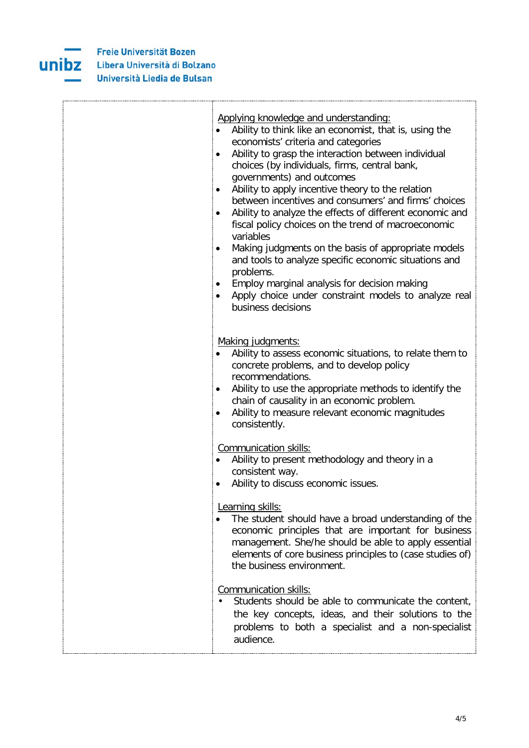

| Applying knowledge and understanding:<br>Ability to think like an economist, that is, using the<br>economists' criteria and categories<br>Ability to grasp the interaction between individual<br>٠<br>choices (by individuals, firms, central bank,<br>governments) and outcomes<br>Ability to apply incentive theory to the relation<br>between incentives and consumers' and firms' choices<br>Ability to analyze the effects of different economic and<br>٠<br>fiscal policy choices on the trend of macroeconomic<br>variables<br>Making judgments on the basis of appropriate models<br>٠<br>and tools to analyze specific economic situations and<br>problems.<br>Employ marginal analysis for decision making<br>$\bullet$<br>Apply choice under constraint models to analyze real<br>business decisions |
|-----------------------------------------------------------------------------------------------------------------------------------------------------------------------------------------------------------------------------------------------------------------------------------------------------------------------------------------------------------------------------------------------------------------------------------------------------------------------------------------------------------------------------------------------------------------------------------------------------------------------------------------------------------------------------------------------------------------------------------------------------------------------------------------------------------------|
| Making judgments:<br>Ability to assess economic situations, to relate them to<br>concrete problems, and to develop policy<br>recommendations.<br>Ability to use the appropriate methods to identify the<br>٠<br>chain of causality in an economic problem.<br>Ability to measure relevant economic magnitudes<br>٠<br>consistently.                                                                                                                                                                                                                                                                                                                                                                                                                                                                             |
| Communication skills:<br>Ability to present methodology and theory in a<br>consistent way.<br>Ability to discuss economic issues.                                                                                                                                                                                                                                                                                                                                                                                                                                                                                                                                                                                                                                                                               |
| Learning skills:<br>The student should have a broad understanding of the<br>economic principles that are important for business<br>management. She/he should be able to apply essential<br>elements of core business principles to (case studies of)<br>the business environment.                                                                                                                                                                                                                                                                                                                                                                                                                                                                                                                               |
| Communication skills:<br>Students should be able to communicate the content,<br>the key concepts, ideas, and their solutions to the<br>problems to both a specialist and a non-specialist<br>audience.                                                                                                                                                                                                                                                                                                                                                                                                                                                                                                                                                                                                          |